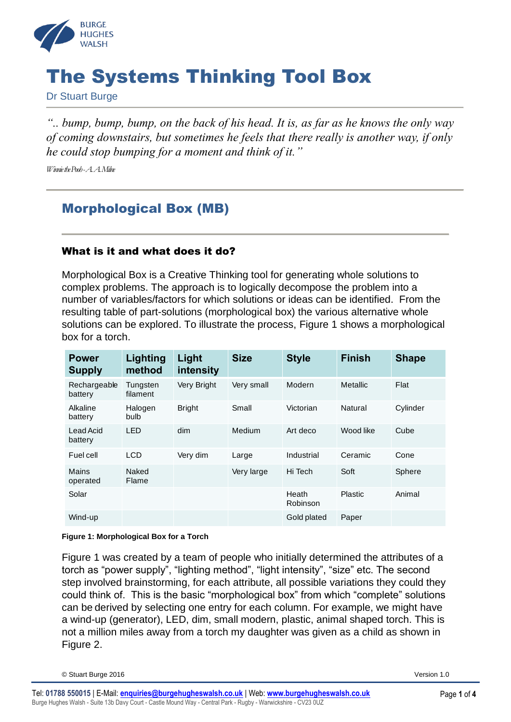

# The Systems Thinking Tool Box

Dr Stuart Burge

*".. bump, bump, bump, on the back of his head. It is, as far as he knows the only way of coming downstairs, but sometimes he feels that there really is another way, if only he could stop bumping for a moment and think of it."*

*Winnie the Pooh -A. A. Milne* 

## Morphological Box (MB)

#### What is it and what does it do?

Morphological Box is a Creative Thinking tool for generating whole solutions to complex problems. The approach is to logically decompose the problem into a number of variables/factors for which solutions or ideas can be identified. From the resulting table of part-solutions (morphological box) the various alternative whole solutions can be explored. To illustrate the process, [Figure 1](#page-0-0) shows a morphological box for a torch.

| <b>Power</b><br><b>Supply</b> | Lighting<br>method   | Light<br>intensity | <b>Size</b> | <b>Style</b>      | <b>Finish</b> | <b>Shape</b> |
|-------------------------------|----------------------|--------------------|-------------|-------------------|---------------|--------------|
| Rechargeable<br>battery       | Tungsten<br>filament | Very Bright        | Very small  | Modern            | Metallic      | Flat         |
| Alkaline<br>battery           | Halogen<br>bulb      | <b>Bright</b>      | Small       | Victorian         | Natural       | Cylinder     |
| Lead Acid<br>battery          | LED                  | dim                | Medium      | Art deco          | Wood like     | Cube         |
| Fuel cell                     | <b>LCD</b>           | Very dim           | Large       | Industrial        | Ceramic       | Cone         |
| Mains<br>operated             | Naked<br>Flame       |                    | Very large  | Hi Tech           | Soft          | Sphere       |
| Solar                         |                      |                    |             | Heath<br>Robinson | Plastic       | Animal       |
| Wind-up                       |                      |                    |             | Gold plated       | Paper         |              |

#### <span id="page-0-0"></span>**Figure 1: Morphological Box for a Torch**

[Figure 1](#page-0-0) was created by a team of people who initially determined the attributes of a torch as "power supply", "lighting method", "light intensity", "size" etc. The second step involved brainstorming, for each attribute, all possible variations they could they could think of. This is the basic "morphological box" from which "complete" solutions can be derived by selecting one entry for each column. For example, we might have a wind-up (generator), LED, dim, small modern, plastic, animal shaped torch. This is not a million miles away from a torch my daughter was given as a child as shown in [Figure 2.](#page-1-0)

© Stuart Burge 2016 Version 1.0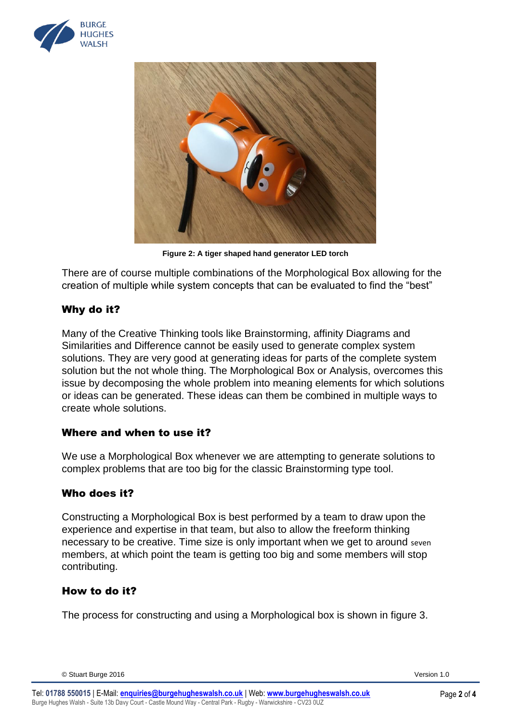



**Figure 2: A tiger shaped hand generator LED torch**

<span id="page-1-0"></span>There are of course multiple combinations of the Morphological Box allowing for the creation of multiple while system concepts that can be evaluated to find the "best"

#### Why do it?

Many of the Creative Thinking tools like Brainstorming, affinity Diagrams and Similarities and Difference cannot be easily used to generate complex system solutions. They are very good at generating ideas for parts of the complete system solution but the not whole thing. The Morphological Box or Analysis, overcomes this issue by decomposing the whole problem into meaning elements for which solutions or ideas can be generated. These ideas can them be combined in multiple ways to create whole solutions.

#### Where and when to use it?

We use a Morphological Box whenever we are attempting to generate solutions to complex problems that are too big for the classic Brainstorming type tool.

#### Who does it?

Constructing a Morphological Box is best performed by a team to draw upon the experience and expertise in that team, but also to allow the freeform thinking necessary to be creative. Time size is only important when we get to around seven members, at which point the team is getting too big and some members will stop contributing.

#### How to do it?

The process for constructing and using a Morphological box is shown in figure 3.

© Stuart Burge 2016 Version 1.0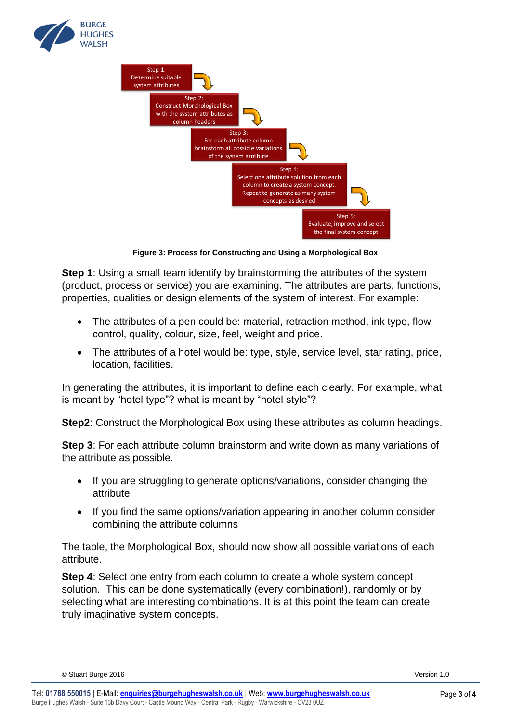



**Figure 3: Process for Constructing and Using a Morphological Box**

**Step 1**: Using a small team identify by brainstorming the attributes of the system (product, process or service) you are examining. The attributes are parts, functions, properties, qualities or design elements of the system of interest. For example:

- The attributes of a pen could be: material, retraction method, ink type, flow control, quality, colour, size, feel, weight and price.
- The attributes of a hotel would be: type, style, service level, star rating, price, location, facilities.

In generating the attributes, it is important to define each clearly. For example, what is meant by "hotel type"? what is meant by "hotel style"?

**Step2**: Construct the Morphological Box using these attributes as column headings.

**Step 3**: For each attribute column brainstorm and write down as many variations of the attribute as possible.

- If you are struggling to generate options/variations, consider changing the attribute
- If you find the same options/variation appearing in another column consider combining the attribute columns

The table, the Morphological Box, should now show all possible variations of each attribute.

**Step 4**: Select one entry from each column to create a whole system concept solution. This can be done systematically (every combination!), randomly or by selecting what are interesting combinations. It is at this point the team can create truly imaginative system concepts.